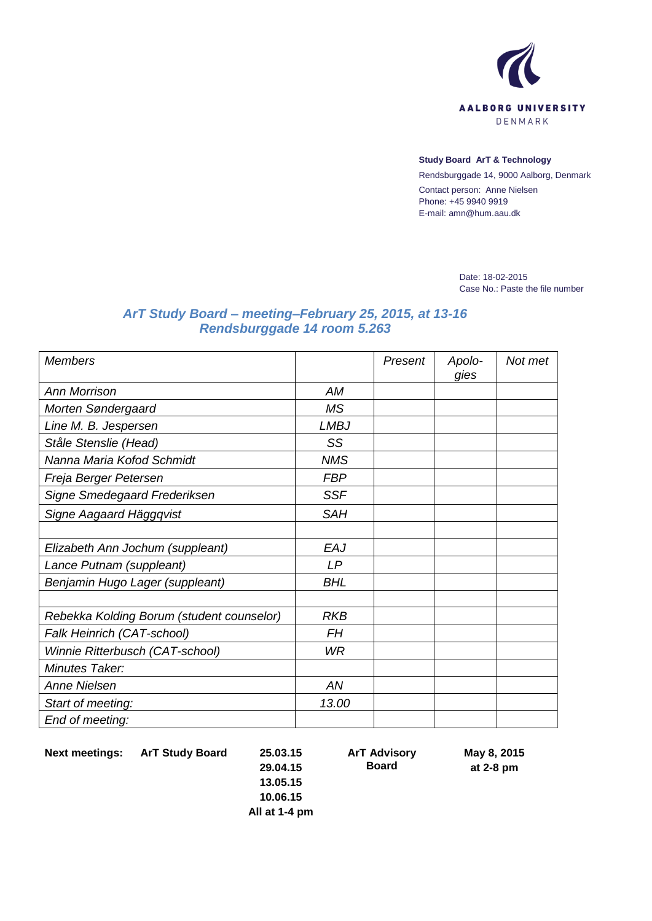

## **Study Board ArT & Technology**

Rendsburggade 14, 9000 Aalborg, Denmark Contact person: Anne Nielsen Phone: +45 9940 9919 E-mail: amn@hum.aau.dk

> Date: 18-02-2015 Case No.: Paste the file number

## *ArT Study Board – meeting–February 25, 2015, at 13-16 Rendsburggade 14 room 5.263*

| <b>Members</b>                            |             | Present | Apolo-<br>gies | Not met |
|-------------------------------------------|-------------|---------|----------------|---------|
| <b>Ann Morrison</b>                       | АM          |         |                |         |
| Morten Søndergaard                        | <b>MS</b>   |         |                |         |
| Line M. B. Jespersen                      | <b>LMBJ</b> |         |                |         |
| Ståle Stenslie (Head)                     | SS          |         |                |         |
| Nanna Maria Kofod Schmidt                 | <b>NMS</b>  |         |                |         |
| Freja Berger Petersen                     | <b>FBP</b>  |         |                |         |
| Signe Smedegaard Frederiksen              | <b>SSF</b>  |         |                |         |
| Signe Aagaard Häggqvist                   | <b>SAH</b>  |         |                |         |
|                                           |             |         |                |         |
| Elizabeth Ann Jochum (suppleant)          | EAJ         |         |                |         |
| Lance Putnam (suppleant)                  | LP          |         |                |         |
| Benjamin Hugo Lager (suppleant)           | <b>BHL</b>  |         |                |         |
|                                           |             |         |                |         |
| Rebekka Kolding Borum (student counselor) | <b>RKB</b>  |         |                |         |
| Falk Heinrich (CAT-school)                | <b>FH</b>   |         |                |         |
| Winnie Ritterbusch (CAT-school)           | <b>WR</b>   |         |                |         |
| Minutes Taker:                            |             |         |                |         |
| <b>Anne Nielsen</b>                       | AN          |         |                |         |
| Start of meeting:                         | 13.00       |         |                |         |
| End of meeting:                           |             |         |                |         |

**Next meetings: ArT Study Board 25.03.15**

**29.04.15**

**ArT Advisory Board**

**May 8, 2015 at 2-8 pm**

**13.05.15 10.06.15 All at 1-4 pm**